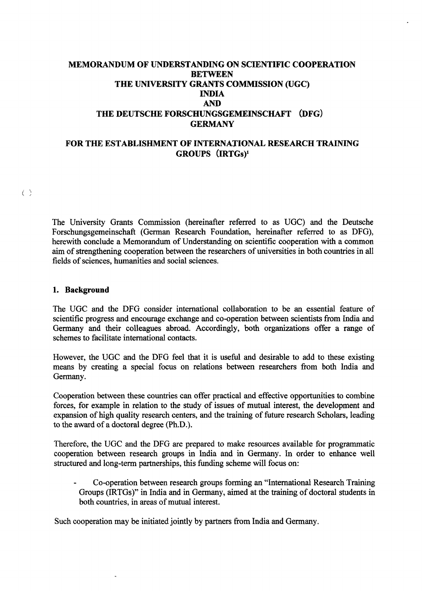# **MEMORANDUM OF UNDERSTANDING ON SCIENTIFIC COOPERATION BETWEEN THE UNIVERSITY GRANTS COMMISSION (UGC) INDIA AND THE DEUTSCHE FORSCHUNGSGEMEINSCHAFT (DFG) GERMANY**

## **FOR THE ESTABLISHMENT OF INTERNATIONAL RESEARCH TRAINING GROUPS (iRTGs)<sup>1</sup>**

 $\langle \rangle$ 

The University Grants Commission (hereinafter referred to äs UGC) and the Deutsche Forschungsgemeinschaft (German Research Foundation, hereinafter referred to äs DFG), herewith conclude a Memorandum of Understanding on scientific cooperation with a common aim of strengthening cooperation between the researchers of universities in both countries in all fields of sciences, humanities and social sciences.

### **1. Background**

The UGC and the DFG consider international collaboration to be an essential feature of scientific progress and encourage exchange and co-operation between scientists from India and Germany and their colleagues abroad. Accordingly, both organizations offer a range of schemes to facilitate international contacts.

However, the UGC and the DFG feel that it is useful and desirable to add to these existing means by creating a special focus on relations between researchers from both India and Germany.

Cooperation between these countries can offer practical and effective opportunities to combine forces, for example in relation to the study of issues of mutual interest, the development and expansion of high quality research centers, and the training of future research Scholars, leading to the award of a doctoral degree (Ph.D.).

Therefore, the UGC and the DFG are prepared to make resources available for programmatic cooperation between research groups in India and in Germany. In order to enhance well structured and long-term partnerships, this funding scheme will focus on:

Co-operation between research groups forming an "International Research Training Groups (IRTGs)" in India and in Germany, aimed at the training of doctoral students in both countries, in areas of mutual interest.

Such cooperation may be initiated jointly by partners from India and Germany.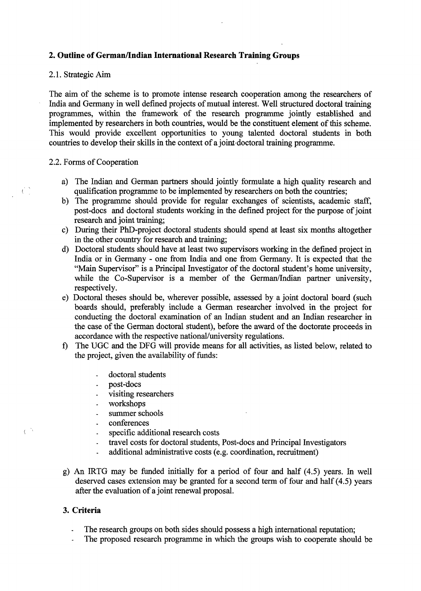## **2. Outline of German/Indian International Research Training Groups**

### 2.1. Strategie Aim

The aim of the scheme is to promote intense research cooperation among the researchers of India and Germany in well defined projects of mutual interest. Well structured doctoral training programmes, within the framework of the research programme jointly established and implemented by researchers in both countries, would be the constituent element of this scheme. This would provide excellent opportunities to young talented doctoral students in both countries to develop their skills in the context of a joint doctoral training programme.

### 2.2. Forms of Cooperation

- a) The Indian and German partners should jointly formulate a high quality research and qualification programme to be implemented by researchers on both the countries;
- b) The programme should provide for regulär exchanges of scientists, academic staff, post-docs and doctoral students working in the defined project for the purpose of joint research and joint training;
- c) During their PhD-project doctoral students should spend at least six months altogether in the other country for research and training;
- d) Doctoral students should have at least two Supervisors working in the defined project in India or in Germany - one from India and one from Germany. It is expected that the "Main Supervisor" is a Principal Investigator of the doctoral student's home university, while the Co-Supervisor is a member of the German/Indian partner university, respectively.
- e) Doctoral theses should be, wherever possible, assessed by a joint doctoral board (such boards should, preferably include a German researcher involved in the project for conducting the doctoral examination of an Indian student and an Indian researcher in the case of the German doctoral Student), before the award of the doctorate proceeds in accordance with the respective national/university regulations.
- f) The UGC and the DFG will provide means for all activities, äs listed below, related to the project, given the availability of funds:
	- doctoral students
	- post-docs  $\overline{a}$
	- visiting researchers
	- workshops  $\ddot{\phantom{1}}$
	- summer schools  $\Box$
	- conferences  $\Box$
	- specific additional research costs  $\overline{a}$
	- travel costs for doctoral students, Post-docs and Principal Investigators  $\Box$
	- additional administrative costs (e.g. coordination, recruitment)
- g) An IRTG may be funded initially for a period of four and half (4.5) years. In well deserved cases extension may be granted for a second term of four and half (4.5) years after the evaluation of a joint renewal proposal.

### **3. Criteria**

 $\overline{\langle}$ 

- The research groups on both sides should possess a high international reputation;
- The proposed research programme in which the groups wish to cooperate should be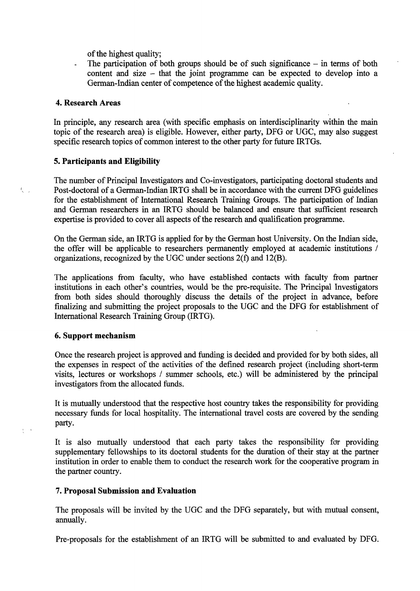of the highest quality;

The participation of both groups should be of such significance  $-$  in terms of both content and size - that the joint programme can be expected to develop into a German-Indian center of competence of the highest academic quality.

### **4. Research Areas**

校。

 $\xi$ 

In principle, any research area (with specific emphasis on interdisciplinarity within the main topic of the research area) is eligible. However, either party, DFG or UGC, may also suggest specific research topics of common interest to the other party for future IRTGs.

### **5. Participants and Eligibility**

The number of Principal Investigators and Co-investigators, participating doctoral students and Post-doctoral of a German-Indian IRTG shall be in accordance with the current DFG guidelines for the establishment of International Research Training Groups. The participation of Indian and German researchers in an IRTG should be balanced and ensure that sufficient research expertise is provided to cover all aspects of the research and qualification programme.

On the German side, an IRTG is applied for by the German host University. On the Indian side, the offer will be applicable to researchers permanently employed at academic institutions / organizations, recognized by the UGC under sections 2(f) and 12(B).

The applications from faculty, who have established contacts with faculty frorn partner institutions in each other's countries, would be the pre-requisite. The Principal Investigators from both sides should thoroughly discuss the details of the project in advance, before finalizing and submitting the project proposals to the UGC and the DFG for establishment of International Research Training Group (IRTG).

### **6. Support mechanism**

Once the research project is approved and funding is decided and provided for by both sides, all the expenses in respect of the activities of the defined research project (including short-term visits, lectures or workshops / summer schools, etc.) will be administered by the principal investigators from the allocated funds.

It is mutually understood that the respective host country takes the responsibility for providing necessary funds for local hospitality. The international travel costs are covered by the sending party.

It is also mutually understood that each party takes the responsibility for providing supplementary fellowships to its doctoral students for the duration of their stay at the partner institution in order to enable them to conduct the research work for the cooperative program in the partner country.

### **7. Proposal Submission and Evaluation**

The proposals will be invited by the UGC and the DFG separately, but with mutual consent, annually.

Pre-proposals for the establishment of an IRTG will be submitted to and evaluated by DFG.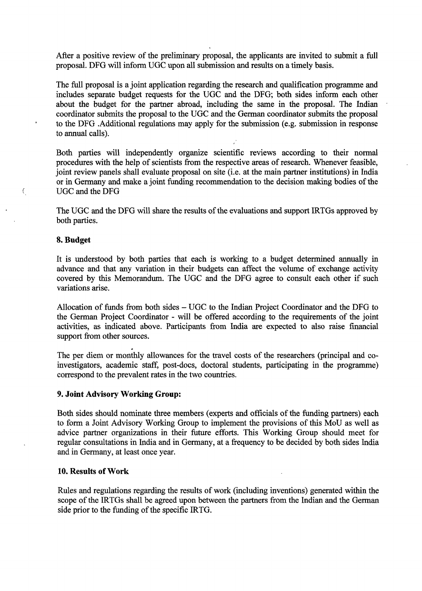After a positive review of the preliminary proposal, the applicants are invited to submit a füll proposal. DFG will inform UGC upon all Submission and results on a timely basis.

The füll proposal is a joint application regarding the research and qualification programme and includes separate budget requests for the UGC and the DFG; both sides inform each other about the budget for the partner abroad, including the same in the proposal. The Indian coordinator submits the proposal to the UGC and the German coordinator submits the proposal to the DFG .Additional regulations may apply for the Submission (e.g. Submission in response to annual calls).

Both parties will independently organize scientific reviews according to their normal procedures with the help of scientists from the respective areas of research. Whenever feasible, joint review panels shall evaluate proposal on site (i.e. at the main partner institutions) in India or in Germany and make a joint funding recommendation to the decision making bodies of the UGC and the DFG

The UGC and the DFG will share the results of the evaluations and support IRTGs approved by both parties.

### **8. Budget**

 $\epsilon$ 

It is understood by both parties that each is working to a budget determined annually in advance and that any Variation in their budgets can affect the volume of exchange activity covered by this Memorandum. The UGC and the DFG agree to consult each other if such variations arise.

Allocation of funds from both sides - UGC to the Indian Project Coordinator and the DFG to the German Project Coordinator - will be offered according to the requirements of the joint activities, äs indicated above. Participants from India are expected to also raise financial support from other sources.

\* The per diem or monthly allowances for the travel costs of the researchers (principal and coinvestigators, academic staff, post-docs, doctoral students, participating in the programme) correspond to the prevalent rates in the two countries.

### **9. Joint Advisory Working Group:**

Both sides should nominate three members (experts and officials of the funding partners) each to form a Joint Advisory Working Group to implement the provisions of this MoU äs well äs advice partner organizations in their future efforts. This Working Group should meet for regulär consultations in India and in Germany, at a frequency to be decided by both sides India and in Germany, at least once year.

### **10. Results of Work**

Rules and regulations regarding the results of work (including inventions) generated within the scope of the IRTGs shall be agreed upon between the partners from the Indian and the German side prior to the funding of the speciflc IRTG.